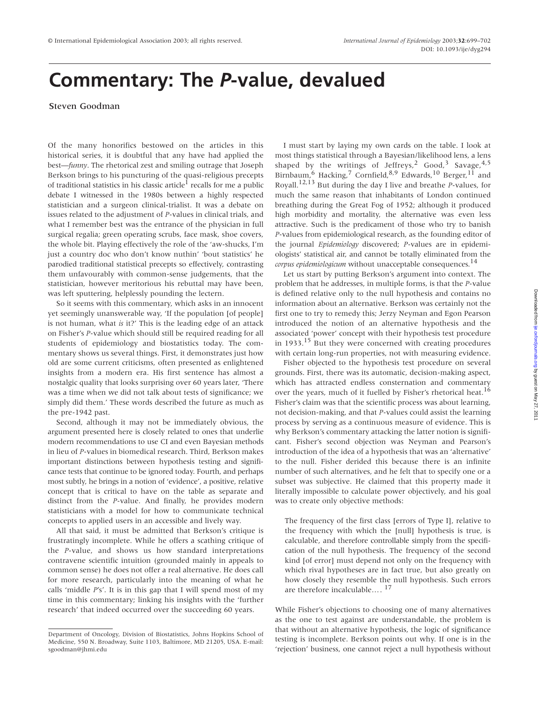## **Commentary: The** *P***-value, devalued**

## Steven Goodman

Of the many honorifics bestowed on the articles in this historical series, it is doubtful that any have had applied the best—*funny*. The rhetorical zest and smiling outrage that Joseph Berkson brings to his puncturing of the quasi-religious precepts of traditional statistics in his classic article<sup>1</sup> recalls for me a public debate I witnessed in the 1980s between a highly respected statistician and a surgeon clinical-trialist. It was a debate on issues related to the adjustment of *P*-values in clinical trials, and what I remember best was the entrance of the physician in full surgical regalia; green operating scrubs, face mask, shoe covers, the whole bit. Playing effectively the role of the 'aw-shucks, I'm just a country doc who don't know nuthin' 'bout statistics' he parodied traditional statistical precepts so effectively, contrasting them unfavourably with common-sense judgements, that the statistician, however meritorious his rebuttal may have been, was left sputtering, helplessly pounding the lectern.

So it seems with this commentary, which asks in an innocent yet seemingly unanswerable way, 'If the population [of people] is not human, what *is* it?' This is the leading edge of an attack on Fisher's *P*-value which should still be required reading for all students of epidemiology and biostatistics today. The commentary shows us several things. First, it demonstrates just how old are some current criticisms, often presented as enlightened insights from a modern era. His first sentence has almost a nostalgic quality that looks surprising over 60 years later, 'There was a time when we did not talk about tests of significance; we simply did them.' These words described the future as much as the pre-1942 past.

Second, although it may not be immediately obvious, the argument presented here is closely related to ones that underlie modern recommendations to use CI and even Bayesian methods in lieu of *P*-values in biomedical research. Third, Berkson makes important distinctions between hypothesis testing and significance tests that continue to be ignored today. Fourth, and perhaps most subtly, he brings in a notion of 'evidence', a positive, relative concept that is critical to have on the table as separate and distinct from the *P*-value. And finally, he provides modern statisticians with a model for how to communicate technical concepts to applied users in an accessible and lively way.

All that said, it must be admitted that Berkson's critique is frustratingly incomplete. While he offers a scathing critique of the *P*-value, and shows us how standard interpretations contravene scientific intuition (grounded mainly in appeals to common sense) he does not offer a real alternative. He does call for more research, particularly into the meaning of what he calls 'middle *P*'s'. It is in this gap that I will spend most of my time in this commentary; linking his insights with the 'further research' that indeed occurred over the succeeding 60 years.

I must start by laying my own cards on the table. I look at most things statistical through a Bayesian/likelihood lens, a lens shaped by the writings of Jeffreys,<sup>2</sup> Good,<sup>3</sup> Savage,<sup>4,5</sup> Birnbaum,6 Hacking,<sup>7</sup> Cornfield,8,9 Edwards,<sup>10</sup> Berger,11 and Royall.12,13 But during the day I live and breathe *P*-values, for much the same reason that inhabitants of London continued breathing during the Great Fog of 1952; although it produced high morbidity and mortality, the alternative was even less attractive. Such is the predicament of those who try to banish *P*-values from epidemiological research, as the founding editor of the journal *Epidemiology* discovered; *P*-values are in epidemiologists' statistical air, and cannot be totally eliminated from the *corpus epidemiologicum* without unacceptable consequences.<sup>14</sup>

Let us start by putting Berkson's argument into context. The problem that he addresses, in multiple forms, is that the *P*-value is defined relative only to the null hypothesis and contains no information about an alternative. Berkson was certainly not the first one to try to remedy this; Jerzy Neyman and Egon Pearson introduced the notion of an alternative hypothesis and the associated 'power' concept with their hypothesis test procedure in  $1933$ <sup>15</sup> But they were concerned with creating procedures with certain long-run properties, not with measuring evidence.

Fisher objected to the hypothesis test procedure on several grounds. First, there was its automatic, decision-making aspect, which has attracted endless consternation and commentary over the years, much of it fuelled by Fisher's rhetorical heat.<sup>16</sup> Fisher's claim was that the scientific process was about learning, not decision-making, and that *P*-values could assist the learning process by serving as a continuous measure of evidence. This is why Berkson's commentary attacking the latter notion is significant. Fisher's second objection was Neyman and Pearson's introduction of the idea of a hypothesis that was an 'alternative' to the null. Fisher derided this because there is an infinite number of such alternatives, and he felt that to specify one or a subset was subjective. He claimed that this property made it literally impossible to calculate power objectively, and his goal was to create only objective methods:

The frequency of the first class [errors of Type I], relative to the frequency with which the [null] hypothesis is true, is calculable, and therefore controllable simply from the specification of the null hypothesis. The frequency of the second kind [of error] must depend not only on the frequency with which rival hypotheses are in fact true, but also greatly on how closely they resemble the null hypothesis. Such errors are therefore incalculable…. <sup>17</sup>

While Fisher's objections to choosing one of many alternatives as the one to test against are understandable, the problem is that without an alternative hypothesis, the logic of significance testing is incomplete. Berkson points out why. If one is in the 'rejection' business, one cannot reject a null hypothesis without

Department of Oncology, Division of Biostatistics, Johns Hopkins School of Medicine, 550 N. Broadway, Suite 1103, Baltimore, MD 21205, USA. E-mail: sgoodman@jhmi.edu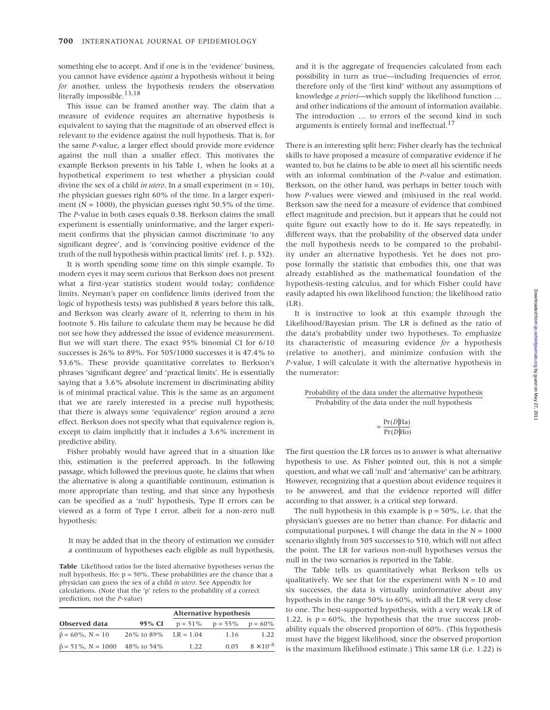something else to accept. And if one is in the 'evidence' business, you cannot have evidence *against* a hypothesis without it being *for* another, unless the hypothesis renders the observation literally impossible.<sup>13,18</sup>

This issue can be framed another way. The claim that a measure of evidence requires an alternative hypothesis is equivalent to saying that the magnitude of an observed effect is relevant to the evidence against the null hypothesis. That is, for the same *P*-value, a larger effect should provide more evidence against the null than a smaller effect. This motivates the example Berkson presents in his Table 1, when he looks at a hypothetical experiment to test whether a physician could divine the sex of a child *in utero*. In a small experiment  $(n = 10)$ , the physician guesses right 60% of the time. In a larger experiment ( $N = 1000$ ), the physician guesses right 50.5% of the time. The *P*-value in both cases equals 0.38. Berkson claims the small experiment is essentially uninformative, and the larger experiment confirms that the physician cannot discriminate 'to any significant degree', and is 'convincing positive evidence of the truth of the null hypothesis within practical limits' (ref. 1, p. 332).

It is worth spending some time on this simple example. To modern eyes it may seem curious that Berkson does not present what a first-year statistics student would today; confidence limits. Neyman's paper on confidence limits (derived from the logic of hypothesis tests) was published 8 years before this talk, and Berkson was clearly aware of it, referring to them in his footnote 5. His failure to calculate them may be because he did not see how they addressed the issue of evidence measurement. But we will start there. The exact 95% binomial CI for 6/10 successes is 26% to 89%. For 505/1000 successes it is 47.4% to 53.6%. These provide quantitative correlates to Berkson's phrases 'significant degree' and 'practical limits'. He is essentially saying that a 3.6% absolute increment in discriminating ability is of minimal practical value. This is the same as an argument that we are rarely interested in a precise null hypothesis; that there is always some 'equivalence' region around a zero effect. Berkson does not specify what that equivalence region is, except to claim implicitly that it includes a 3.6% increment in predictive ability.

Fisher probably would have agreed that in a situation like this, estimation is the preferred approach. In the following passage, which followed the previous quote, he claims that when the alternative is along a quantifiable continuum, estimation is more appropriate than testing, and that since any hypothesis can be specified as a 'null' hypothesis, Type II errors can be viewed as a form of Type I error, albeit for a non-zero null hypothesis:

It may be added that in the theory of estimation we consider a continuum of hypotheses each eligible as null hypothesis,

**Table** Likelihood ratios for the listed alternative hypotheses versus the null hypothesis, Ho:  $p = 50\%$ . These probabilities are the chance that a physician can guess the sex of a child *in utero*. See Appendix for calculations. (Note that the 'p' refers to the probability of a correct prediction, not the *P*-value)

|                                        |                        | Alternative hypothesis |                                  |                    |
|----------------------------------------|------------------------|------------------------|----------------------------------|--------------------|
| Observed data                          | 95% CI                 |                        | $p = 51\%$ $p = 55\%$ $p = 60\%$ |                    |
| $\hat{p} = 60\%$ , N = 10              | 26\% to 89\% LR = 1.04 |                        | 1.16                             | 1.22               |
| $\hat{p} = 51\%$ , N = 1000 48% to 54% |                        | 1.22                   | 0.05                             | $8 \times 10^{-8}$ |

and it is the aggregate of frequencies calculated from each possibility in turn as true—including frequencies of error, therefore only of the 'first kind' without any assumptions of knowledge *a priori—*which supply the likelihood function … and other indications of the amount of information available. The introduction … to errors of the second kind in such arguments is entirely formal and ineffectual.<sup>17</sup>

There is an interesting split here; Fisher clearly has the technical skills to have proposed a measure of comparative evidence if he wanted to, but he claims to be able to meet all his scientific needs with an informal combination of the *P*-value and estimation. Berkson, on the other hand, was perhaps in better touch with how *P*-values were viewed and (mis)used in the real world. Berkson saw the need for a measure of evidence that combined effect magnitude and precision, but it appears that he could not quite figure out exactly how to do it. He says repeatedly, in different ways, that the probability of the observed data under the null hypothesis needs to be compared to the probability under an alternative hypothesis. Yet he does not propose formally the statistic that embodies this, one that was already established as the mathematical foundation of the hypothesis-testing calculus, and for which Fisher could have easily adapted his own likelihood function; the likelihood ratio  $(LR)$ .

It is instructive to look at this example through the Likelihood/Bayesian prism. The LR is defined as the ratio of the data's probability under two hypotheses. To emphasize its characteristic of measuring evidence *for* a hypothesis (relative to another), and minimize confusion with the *P*-value, I will calculate it with the alternative hypothesis in the numerator:

Probability of the data under the alternative hypothesis Probability of the data under the null hypothesis

$$
= \frac{\Pr(D|\text{Ha})}{\Pr(D|\text{Ho})}
$$

The first question the LR forces us to answer is what alternative hypothesis to use. As Fisher pointed out, this is not a simple question, and what we call 'null' and 'alternative' can be arbitrary. However, recognizing that a question about evidence requires it to be answered, and that the evidence reported will differ according to that answer, is a critical step forward.

The null hypothesis in this example is  $p = 50\%$ , i.e. that the physician's guesses are no better than chance. For didactic and computational purposes, I will change the data in the  $N = 1000$ scenario slightly from 505 successes to 510, which will not affect the point. The LR for various non-null hypotheses versus the null in the two scenarios is reported in the Table.

The Table tells us quantitatively what Berkson tells us qualitatively. We see that for the experiment with  $N = 10$  and six successes, the data is virtually uninformative about any hypothesis in the range 50% to 60%, with all the LR very close to one. The best-supported hypothesis, with a very weak LR of 1.22, is  $p = 60\%$ , the hypothesis that the true success probability equals the observed proportion of 60%. (This hypothesis must have the biggest likelihood, since the observed proportion is the maximum likelihood estimate.) This same LR (i.e. 1.22) is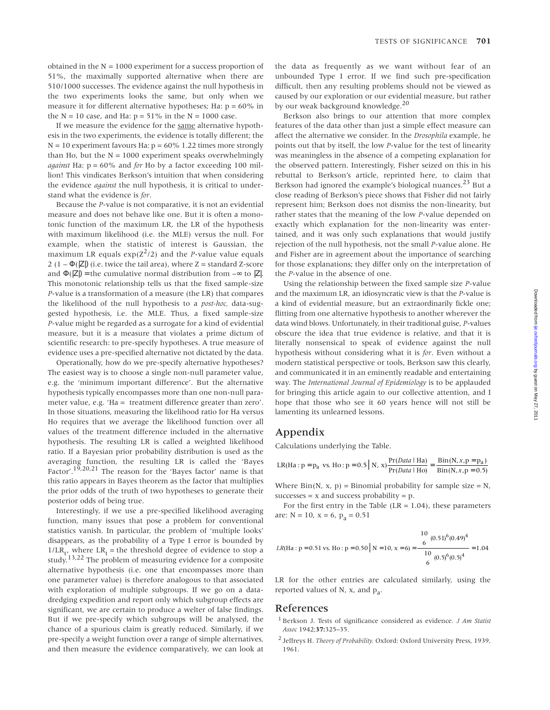obtained in the  $N = 1000$  experiment for a success proportion of 51%, the maximally supported alternative when there are 510/1000 successes. The evidence against the null hypothesis in the two experiments looks the same, but only when we measure it for different alternative hypotheses; Ha:  $p = 60\%$  in the  $N = 10$  case, and Ha:  $p = 51\%$  in the  $N = 1000$  case.

If we measure the evidence for the same alternative hypothesis in the two experiments, the evidence is totally different; the  $N = 10$  experiment favours Ha:  $p = 60\%$  1.22 times more strongly than Ho, but the  $N = 1000$  experiment speaks overwhelmingly *against* Ha: p = 60% and *for* Ho by a factor exceeding 100 million! This vindicates Berkson's intuition that when considering the evidence *against* the null hypothesis, it is critical to understand what the evidence is *for*.

Because the *P*-value is not comparative, it is not an evidential measure and does not behave like one. But it is often a monotonic function of the maximum LR, the LR of the hypothesis with maximum likelihood (i.e. the MLE) versus the null. For example, when the statistic of interest is Gaussian, the maximum LR equals  $exp(Z^2/2)$  and the *P*-value value equals 2 (1 –  $\Phi(|Z|)$  (i.e. twice the tail area), where Z = standard Z-score and  $\Phi(|Z|)$  = the cumulative normal distribution from  $-\infty$  to |Z|. This monotonic relationship tells us that the fixed sample-size *P*-value is a transformation of a measure (the LR) that compares the likelihood of the null hypothesis to a *post-hoc,* data-suggested hypothesis, i.e. the MLE. Thus, a fixed sample-size *P*-value might be regarded as a surrogate for a kind of evidential measure, but it is a measure that violates a prime dictum of scientific research: to pre-specify hypotheses. A true measure of evidence uses a pre-specified alternative not dictated by the data.

Operationally, how do we pre-specify alternative hypotheses? The easiest way is to choose a single non-null parameter value, e.g. the 'minimum important difference'. But the alternative hypothesis typically encompasses more than one non-null parameter value, e.g. 'Ha = treatment difference greater than zero'. In those situations, measuring the likelihood ratio for Ha versus Ho requires that we average the likelihood function over all values of the treatment difference included in the alternative hypothesis. The resulting LR is called a weighted likelihood ratio. If a Bayesian prior probability distribution is used as the averaging function, the resulting LR is called the 'Bayes Factor'.<sup>19,20,21</sup> The reason for the 'Bayes factor' name is that this ratio appears in Bayes theorem as the factor that multiplies the prior odds of the truth of two hypotheses to generate their posterior odds of being true.

Interestingly, if we use a pre-specified likelihood averaging function, many issues that pose a problem for conventional statistics vanish. In particular, the problem of 'multiple looks' disappears, as the probability of a Type I error is bounded by  $1/LR_t$ , where  $LR_t$  = the threshold degree of evidence to stop a study.13,22 The problem of measuring evidence for a composite alternative hypothesis (i.e. one that encompasses more than one parameter value) is therefore analogous to that associated with exploration of multiple subgroups. If we go on a datadredging expedition and report only which subgroup effects are significant, we are certain to produce a welter of false findings. But if we pre-specify which subgroups will be analysed, the chance of a spurious claim is greatly reduced. Similarly, if we pre-specify a weight function over a range of simple alternatives*,* and then measure the evidence comparatively, we can look at

the data as frequently as we want without fear of an unbounded Type I error. If we find such pre-specification difficult, then any resulting problems should not be viewed as caused by our exploration or our evidential measure, but rather by our weak background knowledge.<sup>20</sup>

Berkson also brings to our attention that more complex features of the data other than just a simple effect measure can affect the alternative we consider. In the *Drosophila* example, he points out that by itself, the low *P*-value for the test of linearity was meaningless in the absence of a competing explanation for the observed pattern. Interestingly, Fisher seized on this in his rebuttal to Berkson's article, reprinted here, to claim that Berkson had ignored the example's biological nuances.<sup>23</sup> But a close reading of Berkson's piece shows that Fisher did not fairly represent him; Berkson does not dismiss the non-linearity, but rather states that the meaning of the low *P*-value depended on exactly which explanation for the non-linearity was entertained, and it was only such explanations that would justify rejection of the null hypothesis, not the small *P*-value alone. He and Fisher are in agreement about the importance of searching for those explanations; they differ only on the interpretation of the *P*-value in the absence of one.

Using the relationship between the fixed sample size *P*-value and the maximum LR, an idiosyncratic view is that the *P*-value is a kind of evidential measure, but an extraordinarily fickle one; flitting from one alternative hypothesis to another wherever the data wind blows. Unfortunately, in their traditional guise, *P*-values obscure the idea that true evidence is relative, and that it is literally nonsensical to speak of evidence against the null hypothesis without considering what it is *for*. Even without a modern statistical perspective or tools, Berkson saw this clearly, and communicated it in an eminently readable and entertaining way. The *International Journal of Epidemiology* is to be applauded for bringing this article again to our collective attention, and I hope that those who see it 60 years hence will not still be lamenting its unlearned lessons.

## Appendix

Calculations underlying the Table.

$$
LR(Ha : p = p_a vs. Ho : p = 0.5 | N, x) \frac{Pr(Data | Ha)}{Pr(Data | Ho)} = \frac{Bin(N, x, p = p_a)}{Bin(N, x, p = 0.5)}
$$

Where  $Bin(N, x, p) = Binomial probability for sample size = N$ ,  $successes = x$  and success probability = p.

For the first entry in the Table  $(LR = 1.04)$ , these parameters are:  $N = 10$ ,  $x = 6$ ,  $p_a = 0.51$ 

$$
LR(\text{Ha}: \mathbf{p} = 0.51 \text{ vs. Ho}: \mathbf{p} = 0.50 \mid \mathbf{N} = 10, \mathbf{x} = 6) = \frac{\binom{10}{6} (0.51)^6 (0.49)^4}{\binom{10}{6} (0.5)^6 (0.5)^4} = 1.04
$$

LR for the other entries are calculated similarly, using the reported values of N, x, and  $p_a$ .

## References

- <sup>1</sup> Berkson J. Tests of significance considered as evidence. *J Am Statist Assoc* 1942;**37:**325–35.
- <sup>2</sup> Jeffreys H. *Theory of Probability.* Oxford: Oxford University Press, 1939, 1961.